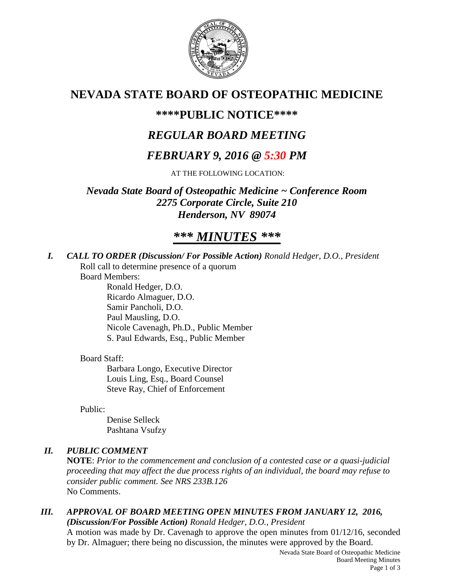

# **NEVADA STATE BOARD OF OSTEOPATHIC MEDICINE**

# **\*\*\*\*PUBLIC NOTICE\*\*\*\***

# *REGULAR BOARD MEETING*

# *FEBRUARY 9, 2016 @ 5:30 PM*

AT THE FOLLOWING LOCATION:

*Nevada State Board of Osteopathic Medicine ~ Conference Room 2275 Corporate Circle, Suite 210 Henderson, NV 89074*

# *\*\*\* MINUTES \*\*\**

*I. CALL TO ORDER (Discussion/ For Possible Action) Ronald Hedger, D.O., President* Roll call to determine presence of a quorum

Board Members:

Ronald Hedger, D.O. Ricardo Almaguer, D.O. Samir Pancholi, D.O. Paul Mausling, D.O. Nicole Cavenagh, Ph.D., Public Member S. Paul Edwards, Esq., Public Member

## Board Staff:

Barbara Longo, Executive Director Louis Ling, Esq., Board Counsel Steve Ray, Chief of Enforcement

Public:

Denise Selleck Pashtana Vsufzy

# *II. PUBLIC COMMENT*

**NOTE**: *Prior to the commencement and conclusion of a contested case or a quasi-judicial proceeding that may affect the due process rights of an individual, the board may refuse to consider public comment. See NRS 233B.126* No Comments.

# *III. APPROVAL OF BOARD MEETING OPEN MINUTES FROM JANUARY 12, 2016, (Discussion/For Possible Action) Ronald Hedger, D.O., President*

A motion was made by Dr. Cavenagh to approve the open minutes from 01/12/16, seconded by Dr. Almaguer; there being no discussion, the minutes were approved by the Board.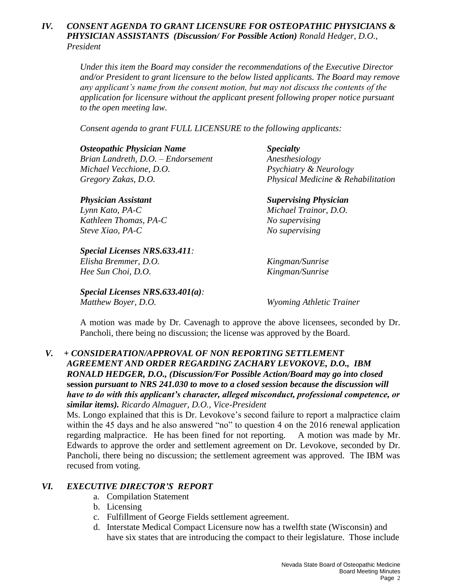### *IV. CONSENT AGENDA TO GRANT LICENSURE FOR OSTEOPATHIC PHYSICIANS & PHYSICIAN ASSISTANTS (Discussion/ For Possible Action) Ronald Hedger, D.O., President*

*Under this item the Board may consider the recommendations of the Executive Director and/or President to grant licensure to the below listed applicants. The Board may remove any applicant's name from the consent motion, but may not discuss the contents of the application for licensure without the applicant present following proper notice pursuant to the open meeting law.* 

*Consent agenda to grant FULL LICENSURE to the following applicants:*

#### *Osteopathic Physician Name Specialty*

*Brian Landreth, D.O. – Endorsement Anesthesiology Michael Vecchione, D.O. Psychiatry & Neurology*

*Lynn Kato, PA-C Michael Trainor, D.O. Kathleen Thomas, PA-C No supervising Steve Xiao, PA-C No supervising*

## *Special Licenses NRS.633.411: Elisha Bremmer, D.O. Kingman/Sunrise*

*Hee Sun Choi, D.O. Kingman/Sunrise*

*Special Licenses NRS.633.401(a): Matthew Boyer, D.O. Wyoming Athletic Trainer*

*Gregory Zakas, D.O. Physical Medicine & Rehabilitation*

*Physician Assistant Supervising Physician*

A motion was made by Dr. Cavenagh to approve the above licensees, seconded by Dr. Pancholi, there being no discussion; the license was approved by the Board.

### *V. + CONSIDERATION/APPROVAL OF NON REPORTING SETTLEMENT AGREEMENT AND ORDER REGARDING ZACHARY LEVOKOVE, D.O., IBM RONALD HEDGER, D.O., (Discussion/For Possible Action/Board may go into closed*  **session** *pursuant to NRS 241.030 to move to a closed session because the discussion will have to do with this applicant's character, alleged misconduct, professional competence, or similar items). Ricardo Almaguer, D.O., Vice-President*

Ms. Longo explained that this is Dr. Levokove's second failure to report a malpractice claim within the 45 days and he also answered "no" to question 4 on the 2016 renewal application regarding malpractice. He has been fined for not reporting. A motion was made by Mr. Edwards to approve the order and settlement agreement on Dr. Levokove, seconded by Dr. Pancholi, there being no discussion; the settlement agreement was approved. The IBM was recused from voting.

## *VI. EXECUTIVE DIRECTOR'S REPORT*

- a. Compilation Statement
- b. Licensing
- c. Fulfillment of George Fields settlement agreement.
- d. Interstate Medical Compact Licensure now has a twelfth state (Wisconsin) and have six states that are introducing the compact to their legislature. Those include